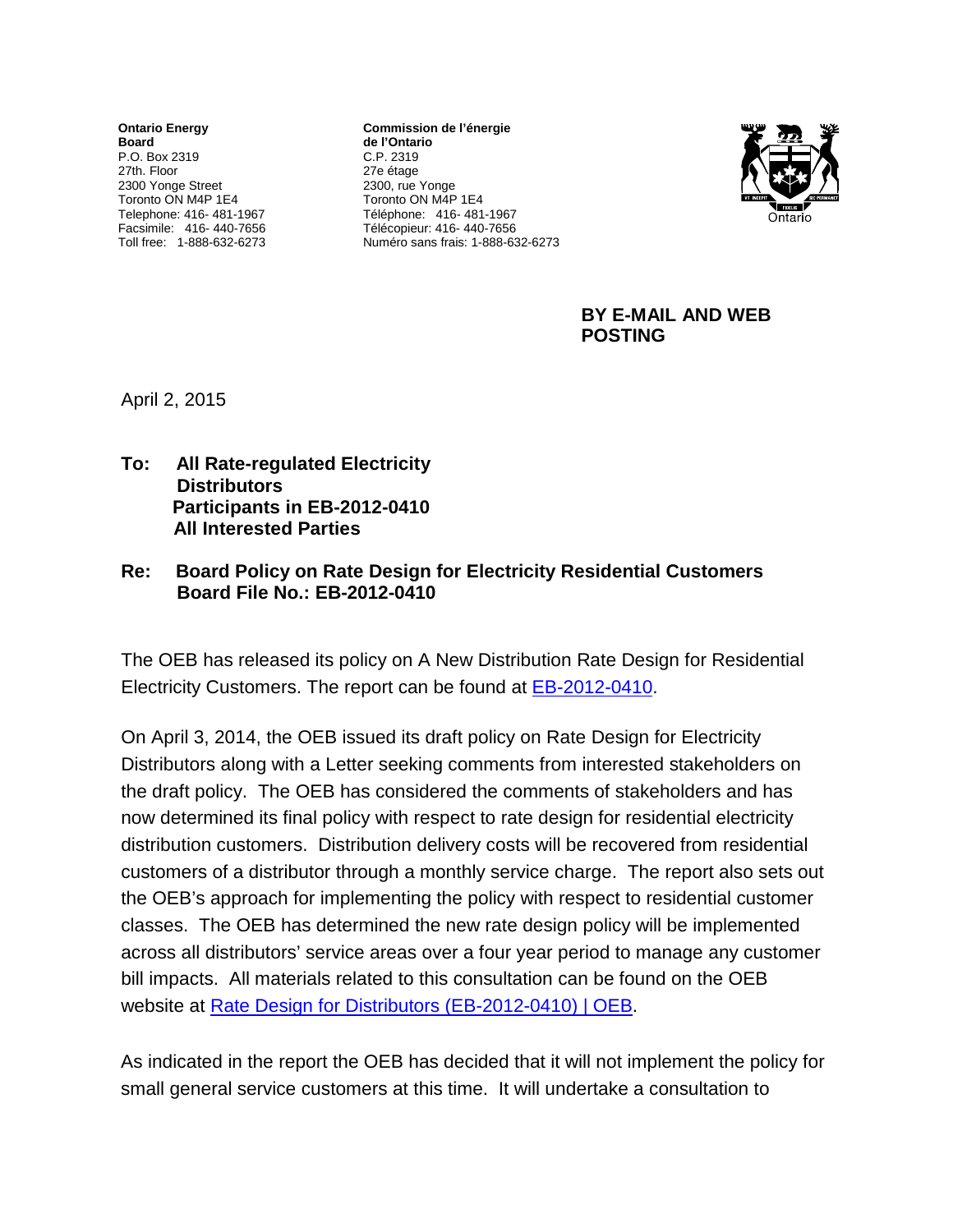**Ontario Energy Board** P.O. Box 2319 27th. Floor 2300 Yonge Street Toronto ON M4P 1E4 Telephone: 416- 481-1967 Facsimile: 416- 440-7656 Toll free: 1-888-632-6273

**Commission de l'énergie de l'Ontario** C.P. 2319 27e étage 2300, rue Yonge Toronto ON M4P 1E4 Téléphone: 416- 481-1967 Télécopieur: 416- 440-7656 Numéro sans frais: 1-888-632-6273



**BY E-MAIL AND WEB POSTING**

April 2, 2015

**To: All Rate-regulated Electricity Distributors Participants in EB-2012-0410 All Interested Parties**

## **Re: Board Policy on Rate Design for Electricity Residential Customers Board File No.: EB-2012-0410**

The OEB has released its policy on A New Distribution Rate Design for Residential Electricity Customers. The report can be found at [EB-2012-0410.](http://www.ontarioenergyboard.ca/oeb/Industry/Regulatory%20Proceedings/Policy%20Initiatives%20and%20Consultations/Rate%20Design%20for%20Distributors%20(EB-2012-0410))

On April 3, 2014, the OEB issued its draft policy on Rate Design for Electricity Distributors along with a Letter seeking comments from interested stakeholders on the draft policy. The OEB has considered the comments of stakeholders and has now determined its final policy with respect to rate design for residential electricity distribution customers. Distribution delivery costs will be recovered from residential customers of a distributor through a monthly service charge. The report also sets out the OEB's approach for implementing the policy with respect to residential customer classes. The OEB has determined the new rate design policy will be implemented across all distributors' service areas over a four year period to manage any customer bill impacts. All materials related to this consultation can be found on the OEB website at [Rate Design for Distributors \(EB-2012-0410\) | OEB.](http://www.ontarioenergyboard.ca/oeb/Industry/Regulatory%20Proceedings/Policy%20Initiatives%20and%20Consultations/Rate%20Design%20for%20Distributors%20(EB-2012-0410))

As indicated in the report the OEB has decided that it will not implement the policy for small general service customers at this time. It will undertake a consultation to